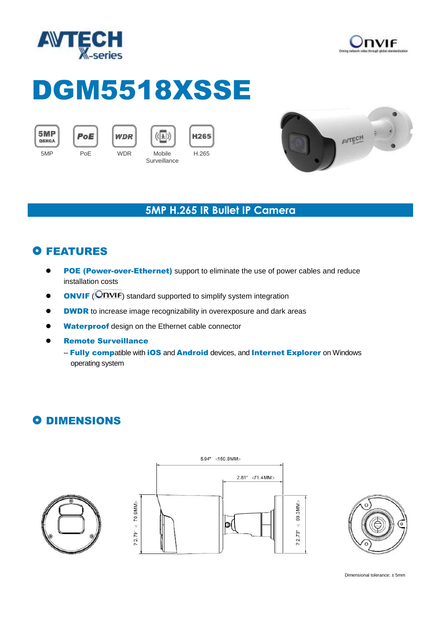



# DGM5518XSSE



PoE





**H265** H.265 **Surveillance** 



#### **5MP H.265 IR Bullet IP Camera**

## **O FEATURES**

- **POE (Power-over-Ethernet)** support to eliminate the use of power cables and reduce installation costs
- **ONVIF** (**ONVIF**) standard supported to simplify system integration
- **ODWDR** to increase image recognizability in overexposure and dark areas
- **Waterproof** design on the Ethernet cable connector
- **•** Remote Surveillance
	- -- Fully compatible with iOS and Android devices, and Internet Explorer on Windows operating system

## **O DIMENSIONS**







Dimensional tolerance: ± 5mm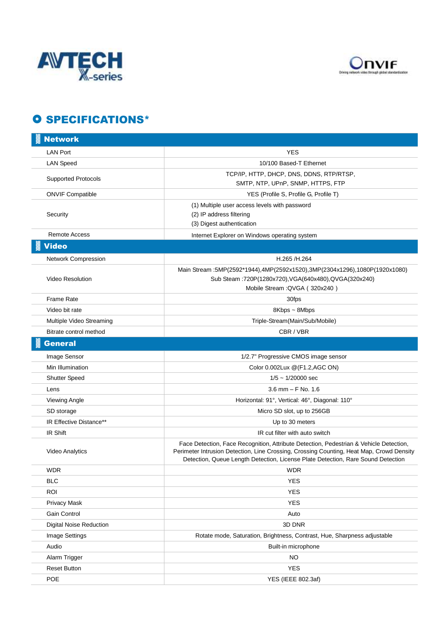



### O SPECIFICATIONS\*

| <b>Network</b>             |                                                                                                                                                                                                                                                                        |
|----------------------------|------------------------------------------------------------------------------------------------------------------------------------------------------------------------------------------------------------------------------------------------------------------------|
| <b>LAN Port</b>            | <b>YES</b>                                                                                                                                                                                                                                                             |
| <b>LAN Speed</b>           | 10/100 Based-T Ethernet                                                                                                                                                                                                                                                |
| <b>Supported Protocols</b> | TCP/IP, HTTP, DHCP, DNS, DDNS, RTP/RTSP,<br>SMTP, NTP, UPnP, SNMP, HTTPS, FTP                                                                                                                                                                                          |
| <b>ONVIF Compatible</b>    | YES (Profile S, Profile G, Profile T)                                                                                                                                                                                                                                  |
| Security                   | (1) Multiple user access levels with password<br>(2) IP address filtering<br>(3) Digest authentication                                                                                                                                                                 |
| <b>Remote Access</b>       | Internet Explorer on Windows operating system                                                                                                                                                                                                                          |
| <b>Video</b>               |                                                                                                                                                                                                                                                                        |
| Network Compression        | H.265 /H.264                                                                                                                                                                                                                                                           |
| Video Resolution           | Main Stream :5MP(2592*1944),4MP(2592x1520),3MP(2304x1296),1080P(1920x1080)<br>Sub Steam :720P(1280x720), VGA(640x480), QVGA(320x240)<br>Mobile Stream : QVGA (320x240)                                                                                                 |
| <b>Frame Rate</b>          | 30fps                                                                                                                                                                                                                                                                  |
| Video bit rate             | 8Kbps ~ 8Mbps                                                                                                                                                                                                                                                          |
| Multiple Video Streaming   | Triple-Stream(Main/Sub/Mobile)                                                                                                                                                                                                                                         |
| Bitrate control method     | CBR / VBR                                                                                                                                                                                                                                                              |
| <b>General</b>             |                                                                                                                                                                                                                                                                        |
| Image Sensor               | 1/2.7" Progressive CMOS image sensor                                                                                                                                                                                                                                   |
| Min Illumination           | Color 0.002Lux @(F1.2,AGC ON)                                                                                                                                                                                                                                          |
| <b>Shutter Speed</b>       | $1/5 \sim 1/20000$ sec                                                                                                                                                                                                                                                 |
| Lens                       | $3.6$ mm $-$ F No. 1.6                                                                                                                                                                                                                                                 |
| <b>Viewing Angle</b>       | Horizontal: 91°, Vertical: 46°, Diagonal: 110°                                                                                                                                                                                                                         |
| SD storage                 | Micro SD slot, up to 256GB                                                                                                                                                                                                                                             |
| IR Effective Distance**    | Up to 30 meters                                                                                                                                                                                                                                                        |
| IR Shift                   | IR cut filter with auto switch                                                                                                                                                                                                                                         |
| <b>Video Analytics</b>     | Face Detection, Face Recognition, Attribute Detection, Pedestrian & Vehicle Detection,<br>Perimeter Intrusion Detection, Line Crossing, Crossing Counting, Heat Map, Crowd Density<br>Detection, Queue Length Detection, License Plate Detection, Rare Sound Detection |
| WDR                        | <b>WDR</b>                                                                                                                                                                                                                                                             |
| <b>BLC</b>                 | <b>YES</b>                                                                                                                                                                                                                                                             |
| <b>ROI</b>                 | <b>YES</b>                                                                                                                                                                                                                                                             |
| Privacy Mask               | <b>YES</b>                                                                                                                                                                                                                                                             |
| Gain Control               | Auto                                                                                                                                                                                                                                                                   |
| Digital Noise Reduction    | 3D DNR                                                                                                                                                                                                                                                                 |
| Image Settings             | Rotate mode, Saturation, Brightness, Contrast, Hue, Sharpness adjustable                                                                                                                                                                                               |
| Audio                      | Built-in microphone                                                                                                                                                                                                                                                    |
| Alarm Trigger              | <b>NO</b>                                                                                                                                                                                                                                                              |
| <b>Reset Button</b>        | <b>YES</b>                                                                                                                                                                                                                                                             |
| POE                        | YES (IEEE 802.3af)                                                                                                                                                                                                                                                     |